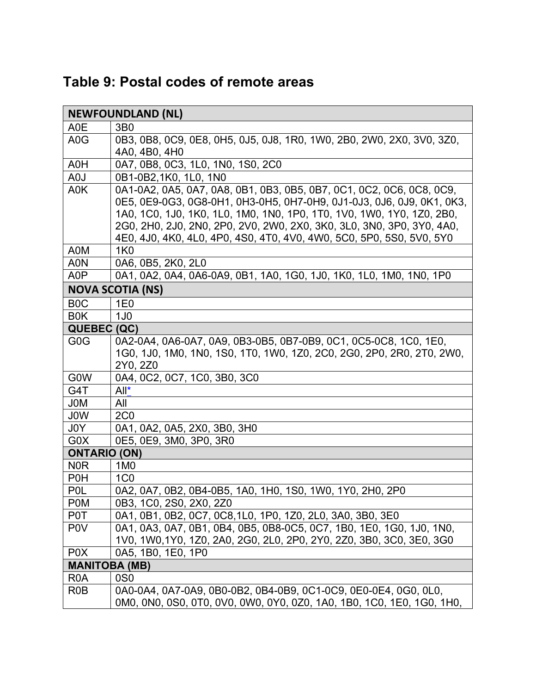|  |  |  |  |  | Table 9: Postal codes of remote areas |  |
|--|--|--|--|--|---------------------------------------|--|
|--|--|--|--|--|---------------------------------------|--|

| <b>NEWFOUNDLAND (NL)</b> |                                                                       |  |  |  |
|--------------------------|-----------------------------------------------------------------------|--|--|--|
| A0E                      | 3 <sub>B</sub> 0                                                      |  |  |  |
| A <sub>0</sub> G         | 0B3, 0B8, 0C9, 0E8, 0H5, 0J5, 0J8, 1R0, 1W0, 2B0, 2W0, 2X0, 3V0, 3Z0, |  |  |  |
|                          | 4A0, 4B0, 4H0                                                         |  |  |  |
| A0H                      | 0A7, 0B8, 0C3, 1L0, 1N0, 1S0, 2C0                                     |  |  |  |
| A0J                      | 0B1-0B2,1K0, 1L0, 1N0                                                 |  |  |  |
| A0K                      | 0A1-0A2, 0A5, 0A7, 0A8, 0B1, 0B3, 0B5, 0B7, 0C1, 0C2, 0C6, 0C8, 0C9,  |  |  |  |
|                          | 0E5, 0E9-0G3, 0G8-0H1, 0H3-0H5, 0H7-0H9, 0J1-0J3, 0J6, 0J9, 0K1, 0K3, |  |  |  |
|                          | 1A0, 1C0, 1J0, 1K0, 1L0, 1M0, 1N0, 1P0, 1T0, 1V0, 1W0, 1Y0, 1Z0, 2B0, |  |  |  |
|                          | 2G0, 2H0, 2J0, 2N0, 2P0, 2V0, 2W0, 2X0, 3K0, 3L0, 3N0, 3P0, 3Y0, 4A0, |  |  |  |
|                          | 4E0, 4J0, 4K0, 4L0, 4P0, 4S0, 4T0, 4V0, 4W0, 5C0, 5P0, 5S0, 5V0, 5Y0  |  |  |  |
| A0M                      | <b>1K0</b>                                                            |  |  |  |
| A0N                      | 0A6, 0B5, 2K0, 2L0                                                    |  |  |  |
| A <sub>0</sub> P         | 0A1, 0A2, 0A4, 0A6-0A9, 0B1, 1A0, 1G0, 1J0, 1K0, 1L0, 1M0, 1N0, 1P0   |  |  |  |
|                          | <b>NOVA SCOTIA (NS)</b>                                               |  |  |  |
| B <sub>0</sub> C         | 1E <sub>0</sub>                                                       |  |  |  |
| B <sub>0</sub> K         | 1J <sub>0</sub>                                                       |  |  |  |
| QUEBEC (QC)              |                                                                       |  |  |  |
| G <sub>0</sub> G         | 0A2-0A4, 0A6-0A7, 0A9, 0B3-0B5, 0B7-0B9, 0C1, 0C5-0C8, 1C0, 1E0,      |  |  |  |
|                          | 1G0, 1J0, 1M0, 1N0, 1S0, 1T0, 1W0, 1Z0, 2C0, 2G0, 2P0, 2R0, 2T0, 2W0, |  |  |  |
|                          | 2Y0, 2Z0                                                              |  |  |  |
| <b>GOW</b>               | 0A4, 0C2, 0C7, 1C0, 3B0, 3C0                                          |  |  |  |
| G4T                      | $All^*$                                                               |  |  |  |
| <b>JOM</b>               | All                                                                   |  |  |  |
| J0W                      | 2C <sub>0</sub>                                                       |  |  |  |
| J0Y                      | 0A1, 0A2, 0A5, 2X0, 3B0, 3H0                                          |  |  |  |
| G0X                      | 0E5, 0E9, 3M0, 3P0, 3R0                                               |  |  |  |
| <b>ONTARIO (ON)</b>      |                                                                       |  |  |  |
| N <sub>0</sub> R         | 1M <sub>0</sub>                                                       |  |  |  |
| P <sub>0</sub> H         | 1 <sub>CO</sub>                                                       |  |  |  |
| <b>POL</b>               | 0A2, 0A7, 0B2, 0B4-0B5, 1A0, 1H0, 1S0, 1W0, 1Y0, 2H0, 2P0             |  |  |  |
| P <sub>0</sub> M         | 0B3, 1C0, 2S0, 2X0, 2Z0                                               |  |  |  |
| P0T                      | 0A1, 0B1, 0B2, 0C7, 0C8, 1L0, 1P0, 1Z0, 2L0, 3A0, 3B0, 3E0            |  |  |  |
| P <sub>0</sub> V         | 0A1, 0A3, 0A7, 0B1, 0B4, 0B5, 0B8-0C5, 0C7, 1B0, 1E0, 1G0, 1J0, 1N0,  |  |  |  |
|                          | 1V0, 1W0, 1Y0, 1Z0, 2A0, 2G0, 2L0, 2P0, 2Y0, 2Z0, 3B0, 3C0, 3E0, 3G0  |  |  |  |
| P <sub>0</sub> X         | 0A5, 1B0, 1E0, 1P0                                                    |  |  |  |
| <b>MANITOBA (MB)</b>     |                                                                       |  |  |  |
| R <sub>0</sub> A         | 0S <sub>0</sub>                                                       |  |  |  |
| R <sub>0</sub> B         | 0A0-0A4, 0A7-0A9, 0B0-0B2, 0B4-0B9, 0C1-0C9, 0E0-0E4, 0G0, 0L0,       |  |  |  |
|                          | 0M0, 0N0, 0S0, 0T0, 0V0, 0W0, 0Y0, 0Z0, 1A0, 1B0, 1C0, 1E0, 1G0, 1H0, |  |  |  |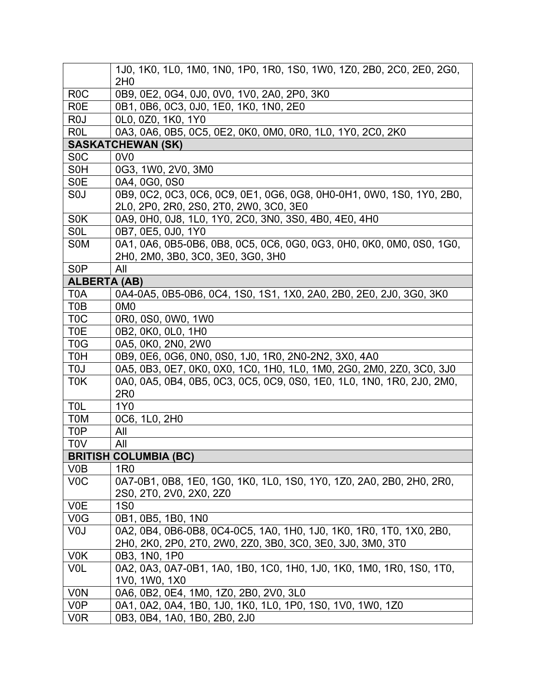|                     | 1J0, 1K0, 1L0, 1M0, 1N0, 1P0, 1R0, 1S0, 1W0, 1Z0, 2B0, 2C0, 2E0, 2G0,<br>2H <sub>0</sub>                                          |
|---------------------|-----------------------------------------------------------------------------------------------------------------------------------|
| R <sub>0</sub> C    | 0B9, 0E2, 0G4, 0J0, 0V0, 1V0, 2A0, 2P0, 3K0                                                                                       |
| <b>R0E</b>          | 0B1, 0B6, 0C3, 0J0, 1E0, 1K0, 1N0, 2E0                                                                                            |
| R <sub>0</sub>      | 0L0, 0Z0, 1K0, 1Y0                                                                                                                |
| R <sub>0</sub> L    | 0A3, 0A6, 0B5, 0C5, 0E2, 0K0, 0M0, 0R0, 1L0, 1Y0, 2C0, 2K0                                                                        |
|                     | <b>SASKATCHEWAN (SK)</b>                                                                                                          |
| S <sub>0</sub> C    | 0V <sub>0</sub>                                                                                                                   |
| S <sub>0</sub> H    | 0G3, 1W0, 2V0, 3M0                                                                                                                |
| S <sub>0</sub> E    | 0A4, 0G0, 0S0                                                                                                                     |
| S <sub>0</sub>      | 0B9, 0C2, 0C3, 0C6, 0C9, 0E1, 0G6, 0G8, 0H0-0H1, 0W0, 1S0, 1Y0, 2B0,<br>2L0, 2P0, 2R0, 2S0, 2T0, 2W0, 3C0, 3E0                    |
| S <sub>0</sub> K    | 0A9, 0H0, 0J8, 1L0, 1Y0, 2C0, 3N0, 3S0, 4B0, 4E0, 4H0                                                                             |
| S <sub>OL</sub>     | 0B7, 0E5, 0J0, 1Y0                                                                                                                |
| S <sub>0</sub> M    | 0A1, 0A6, 0B5-0B6, 0B8, 0C5, 0C6, 0G0, 0G3, 0H0, 0K0, 0M0, 0S0, 1G0,<br>2H0, 2M0, 3B0, 3C0, 3E0, 3G0, 3H0                         |
| S <sub>0</sub> P    | All                                                                                                                               |
| <b>ALBERTA (AB)</b> |                                                                                                                                   |
| T <sub>0</sub> A    | 0A4-0A5, 0B5-0B6, 0C4, 1S0, 1S1, 1X0, 2A0, 2B0, 2E0, 2J0, 3G0, 3K0                                                                |
| T0B                 | 0M <sub>0</sub>                                                                                                                   |
| T <sub>0</sub> C    | 0R0, 0S0, 0W0, 1W0                                                                                                                |
| T <sub>0</sub> E    | 0B2, 0K0, 0L0, 1H0                                                                                                                |
| T <sub>0</sub> G    | 0A5, 0K0, 2N0, 2W0                                                                                                                |
| <b>T0H</b>          | 0B9, 0E6, 0G6, 0N0, 0S0, 1J0, 1R0, 2N0-2N2, 3X0, 4A0                                                                              |
| T <sub>0</sub>      | 0A5, 0B3, 0E7, 0K0, 0X0, 1C0, 1H0, 1L0, 1M0, 2G0, 2M0, 2Z0, 3C0, 3J0                                                              |
| T <sub>0</sub> K    | 0A0, 0A5, 0B4, 0B5, 0C3, 0C5, 0C9, 0S0, 1E0, 1L0, 1N0, 1R0, 2J0, 2M0,<br>2R <sub>0</sub>                                          |
| <b>TOL</b>          | 1Y <sub>0</sub>                                                                                                                   |
| <b>TOM</b>          | 0C6, 1L0, 2H0                                                                                                                     |
| T <sub>0</sub> P    | All                                                                                                                               |
| <b>TOV</b>          | All                                                                                                                               |
|                     | <b>BRITISH COLUMBIA (BC)</b>                                                                                                      |
| V0B                 | 1 <sub>R0</sub>                                                                                                                   |
| V <sub>0</sub> C    | 0A7-0B1, 0B8, 1E0, 1G0, 1K0, 1L0, 1S0, 1Y0, 1Z0, 2A0, 2B0, 2H0, 2R0,                                                              |
|                     | 2S0, 2T0, 2V0, 2X0, 2Z0                                                                                                           |
| <b>V0E</b>          | <b>1S0</b>                                                                                                                        |
| V <sub>0</sub> G    | 0B1, 0B5, 1B0, 1N0                                                                                                                |
| V <sub>0</sub> J    | 0A2, 0B4, 0B6-0B8, 0C4-0C5, 1A0, 1H0, 1J0, 1K0, 1R0, 1T0, 1X0, 2B0,<br>2H0, 2K0, 2P0, 2T0, 2W0, 2Z0, 3B0, 3C0, 3E0, 3J0, 3M0, 3T0 |
| V <sub>0</sub> K    | 0B3, 1N0, 1P0                                                                                                                     |
| <b>VOL</b>          | 0A2, 0A3, 0A7-0B1, 1A0, 1B0, 1C0, 1H0, 1J0, 1K0, 1M0, 1R0, 1S0, 1T0,<br>1V0, 1W0, 1X0                                             |
| <b>VON</b>          | 0A6, 0B2, 0E4, 1M0, 1Z0, 2B0, 2V0, 3L0                                                                                            |
| V <sub>0</sub> P    | 0A1, 0A2, 0A4, 1B0, 1J0, 1K0, 1L0, 1P0, 1S0, 1V0, 1W0, 1Z0                                                                        |
| V <sub>0</sub> R    | 0B3, 0B4, 1A0, 1B0, 2B0, 2J0                                                                                                      |